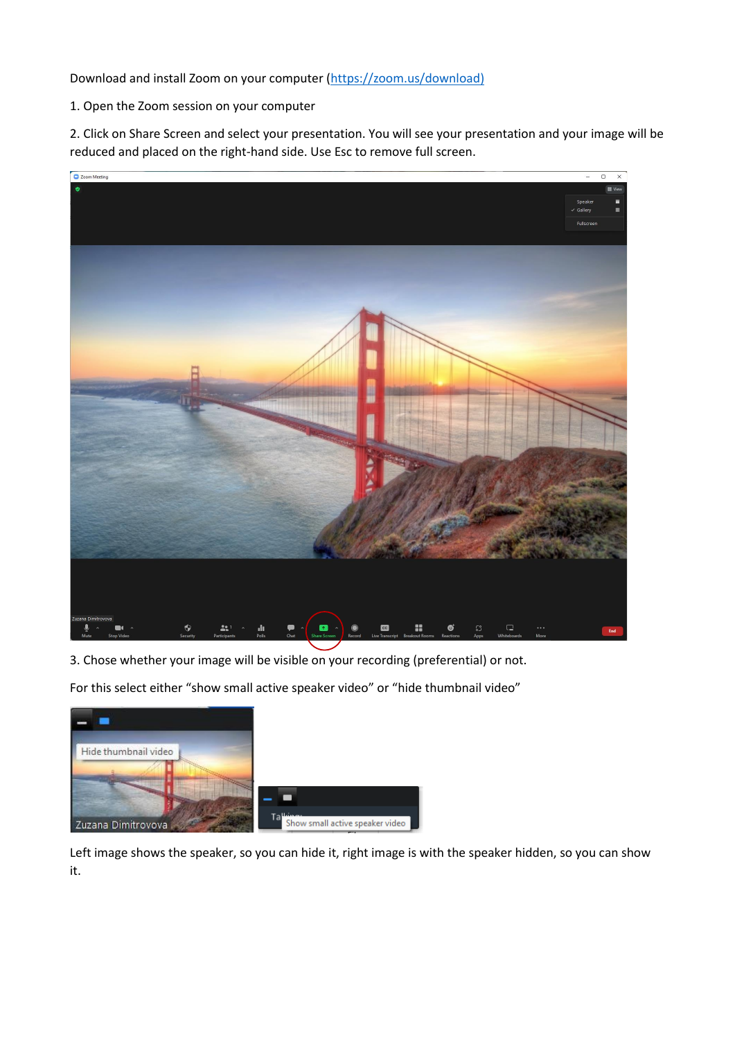Download and install Zoom on your computer [\(https://zoom.us/download\)](https://zoom.us/download)

### 1. Open the Zoom session on your computer

2. Click on Share Screen and select your presentation. You will see your presentation and your image will be reduced and placed on the right-hand side. Use Esc to remove full screen.



3. Chose whether your image will be visible on your recording (preferential) or not.

For this select either "show small active speaker video" or "hide thumbnail video"



Left image shows the speaker, so you can hide it, right image is with the speaker hidden, so you can show it.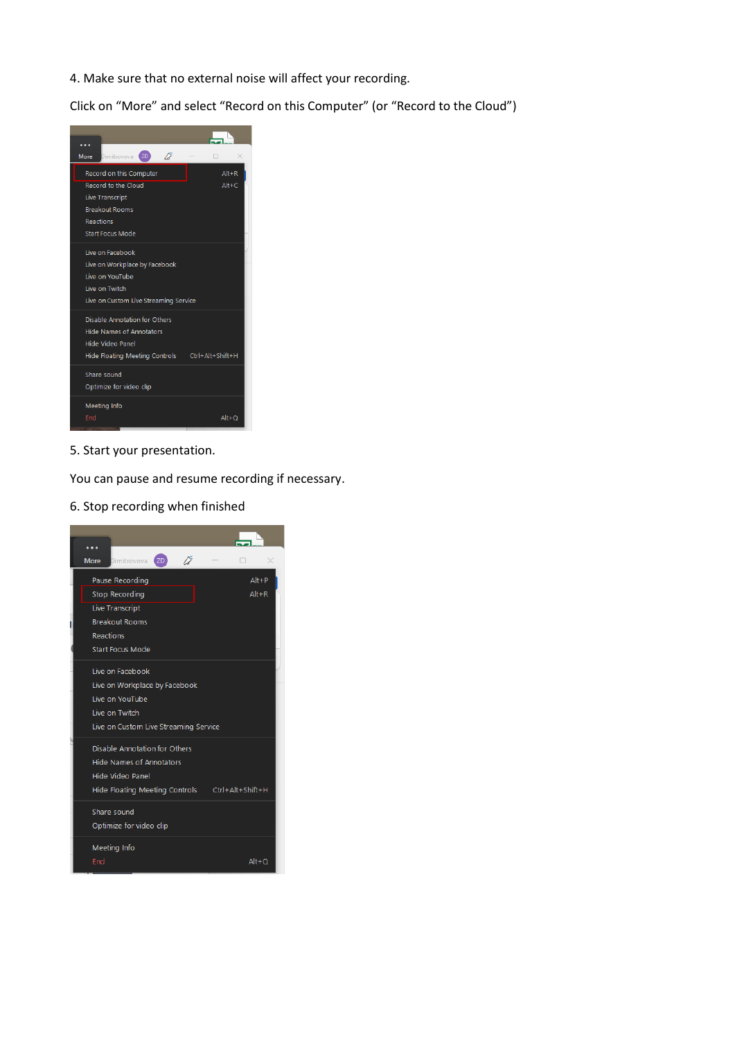4. Make sure that no external noise will affect your recording.

Click on "More" and select "Record on this Computer" (or "Record to the Cloud")

| B<br>$z$<br>Dimitrovova<br>More                                                                                                         | □<br>×                 |
|-----------------------------------------------------------------------------------------------------------------------------------------|------------------------|
| Record on this Computer<br>Record to the Cloud                                                                                          | $Alt + R$<br>$Alt + C$ |
| <b>Live Transcript</b><br><b>Breakout Rooms</b><br><b>Reactions</b><br><b>Start Focus Mode</b>                                          |                        |
| Live on Facebook<br>Live on Workplace by Facebook<br>Live on YouTube<br>Live on Twitch<br>Live on Custom Live Streaming Service         |                        |
| Disable Annotation for Others<br><b>Hide Names of Annotators</b><br>Hide Video Panel<br>Hide Floating Meeting Controls Ctrl+Alt+Shift+H |                        |
| Share sound<br>Optimize for video clip                                                                                                  |                        |
| Meeting Info<br>End                                                                                                                     | $Alt + O$              |

5. Start your presentation.

You can pause and resume recording if necessary.

6. Stop recording when finished

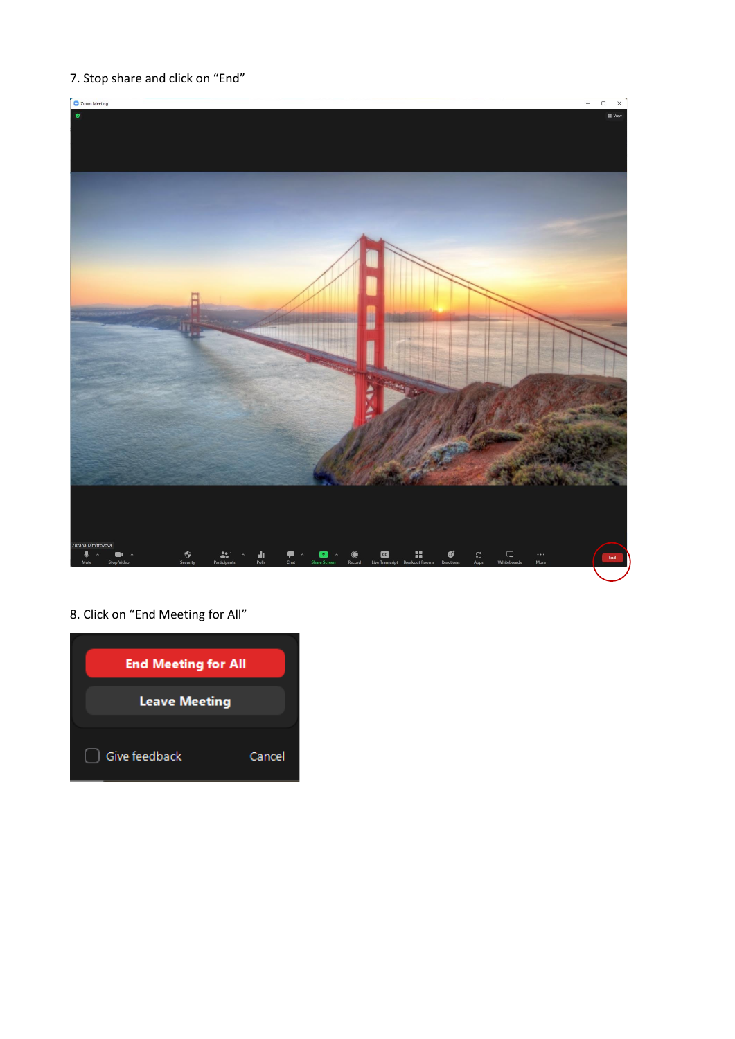## 7. Stop share and click on "End"



# 8. Click on "End Meeting for All"